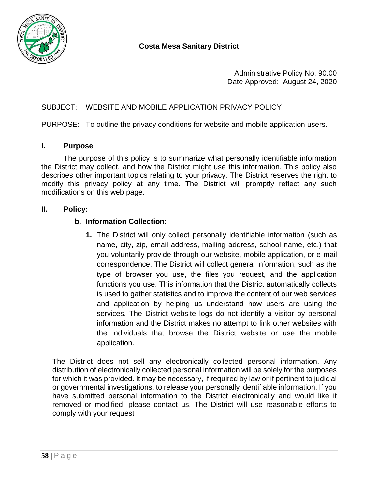

Administrative Policy No. 90.00 Date Approved: August 24, 2020

# SUBJECT: WEBSITE AND MOBILE APPLICATION PRIVACY POLICY

## PURPOSE: To outline the privacy conditions for website and mobile application users.

### **I. Purpose**

The purpose of this policy is to summarize what personally identifiable information the District may collect, and how the District might use this information. This policy also describes other important topics relating to your privacy. The District reserves the right to modify this privacy policy at any time. The District will promptly reflect any such modifications on this web page.

## **II. Policy:**

### **b. Information Collection:**

**1.** The District will only collect personally identifiable information (such as name, city, zip, email address, mailing address, school name, etc.) that you voluntarily provide through our website, mobile application, or e-mail correspondence. The District will collect general information, such as the type of browser you use, the files you request, and the application functions you use. This information that the District automatically collects is used to gather statistics and to improve the content of our web services and application by helping us understand how users are using the services. The District website logs do not identify a visitor by personal information and the District makes no attempt to link other websites with the individuals that browse the District website or use the mobile application.

The District does not sell any electronically collected personal information. Any distribution of electronically collected personal information will be solely for the purposes for which it was provided. It may be necessary, if required by law or if pertinent to judicial or governmental investigations, to release your personally identifiable information. If you have submitted personal information to the District electronically and would like it removed or modified, please contact us. The District will use reasonable efforts to comply with your request